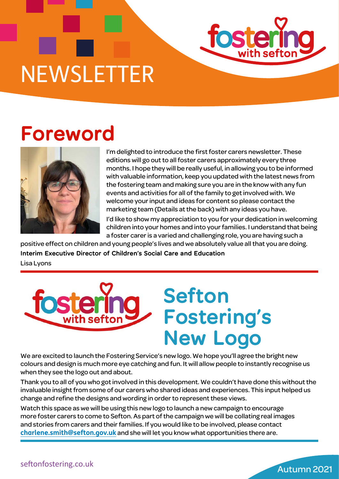

## **Foreword**



I'm delighted to introduce the first foster carers newsletter. These editions will go out to all foster carers approximately every three months. I hope they will be really useful, in allowing you to be informed with valuable information, keep you updated with the latest news from the fostering team and making sure you are in the know with any fun events and activities for all of the family to get involved with. We welcome your input and ideas for content so please contact the marketing team (Details at the back) with any ideas you have.

I'd like to show my appreciation to you for your dedication in welcoming children into your homes and into your families. I understand that being a foster carer is a varied and challenging role, you are having such a

positive effect on children and young people's lives and we absolutely value all that you are doing. **Interim Executive Director of Children's Social Care and Education** Lisa Lyons



We are excited to launch the Fostering Service's new logo. We hope you'll agree the bright new colours and design is much more eye catching and fun. It will allow people to instantly recognise us when they see the logo out and about.

Thank you to all of you who got involved in this development. We couldn't have done this without the invaluable insight from some of our carers who shared ideas and experiences. This input helped us change and refine the designs and wording in order to represent these views.

Watch this space as we will be using this new logo to launch a new campaign to encourage more foster carers to come to Sefton. As part of the campaign we will be collating real images and stories from carers and their families. If you would like to be involved, please contact **[charlene.smith@sefton.gov.uk](mailto:charlene.smith@sefton.gov.uk)** and she will let you know what opportunities there are.

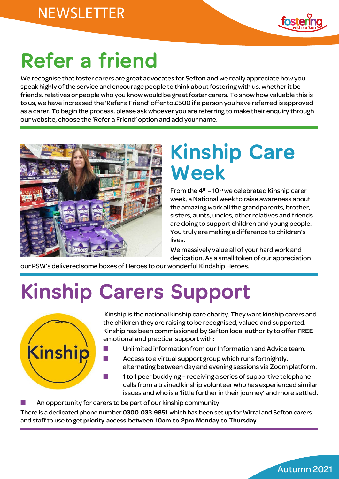

Autumn 2021

# **Refer a friend**

We recognise that foster carers are great advocates for Sefton and we really appreciate how you speak highly of the service and encourage people to think about fostering with us, whether it be friends, relatives or people who you know would be great foster carers. To show how valuable this is to us, we have increased the 'Refer a Friend' offer to £500 if a person you have referred is approved as a carer. To begin the process, please ask whoever you are referring to make their enquiry through our website, choose the 'Refer a Friend' option and add your name.



## **Kinship Care Week**

From the  $4<sup>th</sup> - 10<sup>th</sup>$  we celebrated Kinship carer week, a National week to raise awareness about the amazing work all the grandparents, brother, sisters, aunts, uncles, other relatives and friends are doing to support children and young people. You truly are making a difference to children's lives.

We massively value all of your hard work and dedication. As a small token of our appreciation

our PSW's delivered some boxes of Heroes to our wonderful Kindship Heroes.

# **Kinship Carers Support**



 Kinship is the national kinship care charity. They want kinship carers and the children they are raising to be recognised, valued and supported. Kinship has been commissioned by Sefton local authority to offer **FREE** emotional and practical support with:

- Unlimited information from our Information and Advice team.
- Access to a virtual support group which runs fortnightly, alternating between day and evening sessions via Zoom platform.
	- 1 to 1 peer buddying receiving a series of supportive telephone calls from a trained kinship volunteer who has experienced similar issues and who is a 'little further in their journey' and more settled.
- An opportunity for carers to be part of our kinship community.

There is a dedicated phone number **0300 033 9851** which has been set up for Wirral and Sefton carers and staff to use to get **priority access between 10am to 2pm Monday to Thursday.**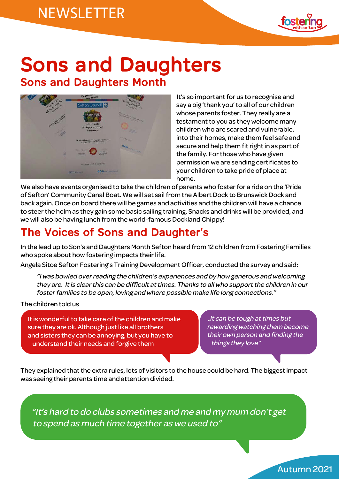

### **Sons and Daughters Sons and Daughters Month**



 It's so important for us to recognise and say a big 'thank you' to all of our children whose parents foster. They really are a testament to you as they welcome many children who are scared and vulnerable, into their homes, make them feel safe and secure and help them fit right in as part of the family. For those who have given permission we are sending certificates to your children to take pride of place at home.

We also have events organised to take the children of parents who foster for a ride on the 'Pride of Sefton' Community Canal Boat. We will set sail from the Albert Dock to Brunswick Dock and back again. Once on board there will be games and activities and the children will have a chance to steer the helm as they gain some basic sailing training. Snacks and drinks will be provided, and we will also be having lunch from the world-famous Dockland Chippy!

#### **The Voices of Sons and Daughter's**

In the lead up to Son's and Daughters Month Sefton heard from 12 children from Fostering Families who spoke about how fostering impacts their life.

Angela Sitoe Sefton Fostering's Training Development Officer, conducted the survey and said:

"I was bowled over reading the children's experiences and by how generous and welcoming they are. It is clear this can be difficult at times. Thanks to all who support the children in our foster families to be open, loving and where possible make life long connections."

The children told us

It is wonderful to take care of the children and make sure they are ok. Although just like all brothers and sisters they can be annoying, but you have to understand their needs and forgive them

"It can be tough at times but rewarding watching them become their own person and finding the things they love"

Autumn 2021

They explained that the extra rules, lots of visitors to the house could be hard. The biggest impact was seeing their parents time and attention divided.

"It's hard to do clubs sometimes and me and my mum don't get to spend as much time together as we used to"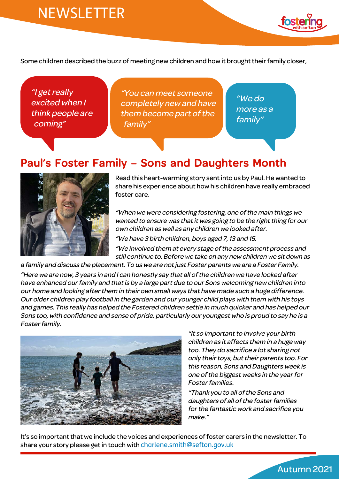

Some children described the buzz of meeting new children and how it brought their family closer,

"I get really excited when I think people are coming"

"You can meet someone completely new and have them become part of the family"

"We do more as a family"

#### **Paul's Foster Family – Sons and Daughters Month**



Read this heart-warming story sent into us by Paul. He wanted to share his experience about how his children have really embraced foster care.

"When we were considering fostering, one of the main things we wanted to ensure was that it was going to be the right thing for our own children as well as any children we looked after. "We have 3 birth children, boys aged 7, 13 and 15.

"We involved them at every stage of the assessment process and

still continue to. Before we take on any new children we sit down as a family and discuss the placement. To us we are not just Foster parents we are a Foster Family.

"Here we are now, 3 years in and I can honestly say that all of the children we have looked after have enhanced our family and that is by a large part due to our Sons welcoming new children into our home and looking after them in their own small ways that have made such a huge difference. Our older children play football in the garden and our younger child plays with them with his toys and games. This really has helped the Fostered children settle in much quicker and has helped our Sons too, with confidence and sense of pride, particularly our youngest who is proud to say he is a Foster family.



"It so important to involve your birth children as it affects them in a huge way too. They do sacrifice a lot sharing not only their toys, but their parents too. For this reason, Sons and Daughters week is one of the biggest weeks in the year for Foster families.

"Thank you to all of the Sons and daughters of all of the foster families for the fantastic work and sacrifice you make."

Autumn 2021

It's so important that we include the voices and experiences of foster carers in the newsletter. To share your story please get in touch with [charlene.smith@sefton.gov.uk](mailto:charlene.smith@sefton.gov.uk)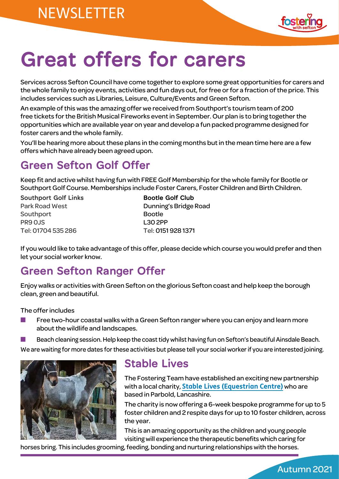

# **Great offers for carers**

Services across Sefton Council have come together to explore some great opportunities for carers and the whole family to enjoy events, activities and fun days out, for free or for a fraction of the price. This includes services such as Libraries, Leisure, Culture/Events and Green Sefton.

An example of this was the amazing offer we received from Southport's tourism team of 200 free tickets for the British Musical Fireworks event in September. Our plan is to bring together the opportunities which are available year on year and develop a fun packed programme designed for foster carers and the whole family.

You'll be hearing more about these plans in the coming months but in the mean time here are a few offers which have already been agreed upon.

#### **Green Sefton Golf Offer**

Keep fit and active whilst having fun with FREE Golf Membership for the whole family for Bootle or Southport Golf Course. Memberships include Foster Carers, Foster Children and Birth Children.

**Southport Golf Links** Bootle Golf Club Southport Bootle PR9 OJS L30 2PP Tel: 01704 535 286 Tel: 0151 928 1371

Park Road West **Dunning's Bridge Road** 

If you would like to take advantage of this offer, please decide which course you would prefer and then let your social worker know.

#### **Green Sefton Ranger Offer**

Enjoy walks or activities with Green Sefton on the glorious Sefton coast and help keep the borough clean, green and beautiful.

The offer includes

Free two-hour coastal walks with a Green Sefton ranger where you can enjoy and learn more about the wildlife and landscapes.

Beach cleaning session. Help keep the coast tidy whilst having fun on Sefton's beautiful Ainsdale Beach. We are waiting for more dates for these activities but please tell your social worker if you are interested joining.



#### **Stable Lives**

The Fostering Team have established an exciting new partnership with a local charity, **[Stable Lives \(Equestrian Centre\)](https://stable-lives.co.uk/)** who are based in Parbold, Lancashire.

The charity is now offering a 6-week bespoke programme for up to 5 foster children and 2 respite days for up to 10 foster children, across the year.

This is an amazing opportunity as the children and young people visiting will experience the therapeutic benefits which caring for

horses bring. This includes grooming, feeding, bonding and nurturing relationships with the horses.

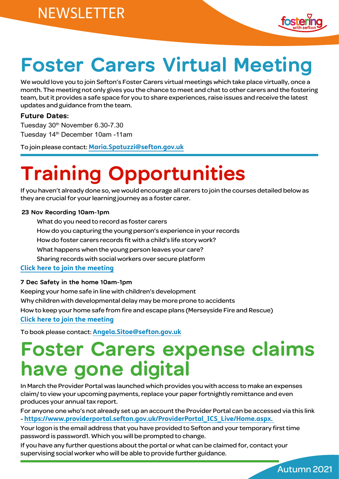

Autumn 2021

## **Foster Carers Virtual Meeting**

We would love you to join Sefton's Foster Carers virtual meetings which take place virtually, once a month. The meeting not only gives you the chance to meet and chat to other carers and the fostering team, but it provides a safe space for you to share experiences, raise issues and receive the latest updates and guidance from the team.

#### **Future Dates:**

Tuesday 30<sup>th</sup> November 6.30-7.30 Tuesday 14th December 10am -11am

To join please contact: **[Maria.Spatuzzi@sefton.gov.uk](mailto:Maria.Spatuzzi@sefton.gov.uk)**

# **Training Opportunities**

If you haven't already done so, we would encourage all carers to join the courses detailed below as they are crucial for your learning journey as a foster carer.

#### **23 Nov Recording 10am-1pm**

 What do you need to record as foster carers How do you capturing the young person's experience in your records How do foster carers records fit with a child's life story work? What happens when the young person leaves your care? Sharing records with social workers over secure platform **[Click here to join the meeting](https://teams.microsoft.com/l/meetup-join/19%3ameeting_N2U1MTgzYmEtOGMwOC00NWE0LTk1MmQtN2E4ZWEyZWNkODhi%40thread.v2/0?context=%7b%22Tid%22%3a%22bf3a3387-dc95-4c7d-940e-49cc2fc9d4f1%22%2c%22Oid%22%3a%22e82a3855-2993-46fa-af58-4ed31f4af0b4%22%7d)**

#### **7 Dec Safety in the home 10am-1pm**

Keeping your home safe in line with children's development Why children with developmental delay may be more prone to accidents How to keep your home safe from fire and escape plans (Merseyside Fire and Rescue) **[Click here to join the meeting](https://teams.microsoft.com/l/meetup-join/19%3ameeting_NjRjZjU0ZmEtODIyOC00NjU4LTkzYTctN2YwYzU1OGYxNTRi%40thread.v2/0?context=%7b%22Tid%22%3a%22bf3a3387-dc95-4c7d-940e-49cc2fc9d4f1%22%2c%22Oid%22%3a%22e82a3855-2993-46fa-af58-4ed31f4af0b4%22%7d)**

To book please contact: **[Angela.Sitoe@sefton.gov.uk](mailto:Angela.Sitoe@sefton.gov.uk)**

## **Foster Carers expense claims have gone digital**

In March the Provider Portal was launched which provides you with access to make an expenses claim/ to view your upcoming payments, replace your paper fortnightly remittance and even produces your annual tax report.

For anyone one who's not already set up an account the Provider Portal can be accessed via this link - **[https://www.providerportal.sefton.gov.uk/ProviderPortal\\_ICS\\_Live/Home.aspx](https://www.providerportal.sefton.gov.uk/ProviderPortal_ICS_Live/Home.aspx).** 

Your logon is the email address that you have provided to Sefton and your temporary first time password is password1. Which you will be prompted to change.

If you have any further questions about the portal or what can be claimed for, contact your supervising social worker who will be able to provide further guidance.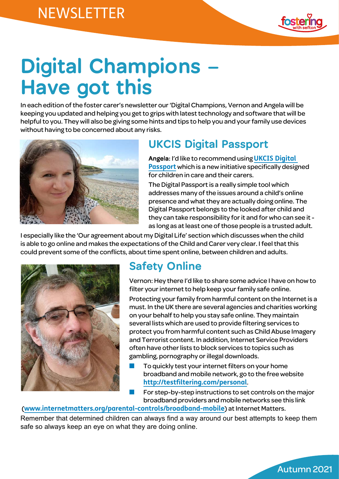

Autumn 2021

# **Digital Champions – Have got this**

In each edition of the foster carer's newsletter our 'Digital Champions, Vernon and Angela will be keeping you updated and helping you get to grips with latest technology and software that will be helpful to you. They will also be giving some hints and tips to help you and your family use devices without having to be concerned about any risks.



#### **[UKCIS Digital Passport](http://email.nspcc.org.uk/c/11iWvAu9rL3k5D5BY5Z4x4yaQA)**

**Angela:** I'd like to recommend using **[UKCIS Digital](http://email.nspcc.org.uk/c/11iWvAu9rL3k5D5BY5Z4x4yaQA)  [Passport](http://email.nspcc.org.uk/c/11iWvAu9rL3k5D5BY5Z4x4yaQA)** which is a new initiative specifically designed for children in care and their carers.

The Digital Passport is a really simple tool which addresses many of the issues around a child's online presence and what they are actually doing online. The Digital Passport belongs to the looked after child and they can take responsibility for it and for who can see it as long as at least one of those people is a trusted adult.

I especially like the 'Our agreement about my Digital Life' section which discusses when the child is able to go online and makes the expectations of the Child and Carer very clear. I feel that this could prevent some of the conflicts, about time spent online, between children and adults.



#### **Safety Online**

Vernon: Hey there I'd like to share some advice I have on how to filter your internet to help keep your family safe online.

Protecting your family from harmful content on the Internet is a must. In the UK there are several agencies and charities working on your behalf to help you stay safe online. They maintain several lists which are used to provide filtering services to protect you from harmful content such as Child Abuse Imagery and Terrorist content. In addition, Internet Service Providers often have other lists to block services to topics such as gambling, pornography or illegal downloads.

- To quickly test your internet filters on your home broadband and mobile network, go to the free website **[http://testfiltering.com/personal](http://testfiltering.com/personal/)**.
- For step-by-step instructions to set controls on the major broadband providers and mobile networks see this link

(**[www.internetmatters.org/parental-controls/broadband-mobile](https://www.internetmatters.org/parental-controls/broadband-mobile/)**) at Internet Matters.

Remember that determined children can always find a way around our best attempts to keep them safe so always keep an eye on what they are doing online.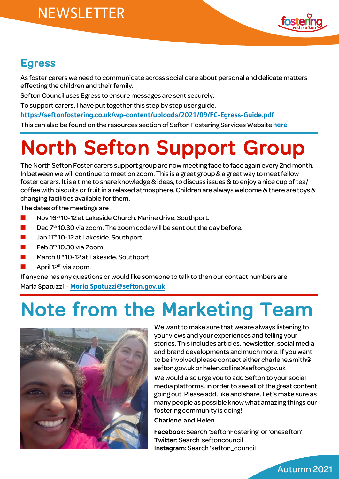

#### **Egress**

As foster carers we need to communicate across social care about personal and delicate matters effecting the children and their family.

Sefton Council uses Egress to ensure messages are sent securely.

To support carers, I have put together this step by step user guide.

**<https://seftonfostering.co.uk/wp-content/uploads/2021/09/FC-Egress-Guide.pdf>**

This can also be found on the resources section of Sefton Fostering Services Website **[here](https://seftonfostering.co.uk/resources-training/)**

# **North Sefton Support Group**

The North Sefton Foster carers support group are now meeting face to face again every 2nd month. In between we will continue to meet on zoom. This is a great group & a great way to meet fellow foster carers. It is a time to share knowledge & ideas, to discuss issues & to enjoy a nice cup of tea/ coffee with biscuits or fruit in a relaxed atmosphere. Children are always welcome & there are toys & changing facilities available for them.

The dates of the meetings are

- Nov 16th 10-12 at Lakeside Church. Marine drive. Southport.
- Dec 7<sup>th</sup> 10.30 via zoom. The zoom code will be sent out the day before.
- Jan 11<sup>th</sup> 10-12 at Lakeside. Southport
- $Feb 8<sup>th</sup> 10.30$  via Zoom
- March 8<sup>th</sup> 10-12 at Lakeside. Southport
- April 12<sup>th</sup> via zoom.

If anyone has any questions or would like someone to talk to then our contact numbers are Maria Spatuzzi - **[Maria.Spatuzzi@sefton.gov.uk](mailto:Maria.Spatuzzi@sefton.gov.uk)**

# **Note from the Marketing Team**



We want to make sure that we are always listening to your views and your experiences and telling your stories. This includes articles, newsletter, social media and brand developments and much more. If you want to be involved please contact either [charlene.smith@](mailto:charlene.smith@sefton.gov.uk) [sefton.gov.uk](mailto:charlene.smith@sefton.gov.uk) or [helen.collins@sefton.gov.uk](mailto:helen.collins@sefton.gov.uk)

We would also urge you to add Sefton to your social media platforms, in order to see all of the great content going out. Please add, like and share. Let's make sure as many people as possible know what amazing things our fostering community is doing!

#### **Charlene and Helen**

**Facebook:** Search 'SeftonFostering' or 'onesefton' **Twitter**: Search seftoncouncil **Instagram:** Search 'sefton\_council

Autumn 2021